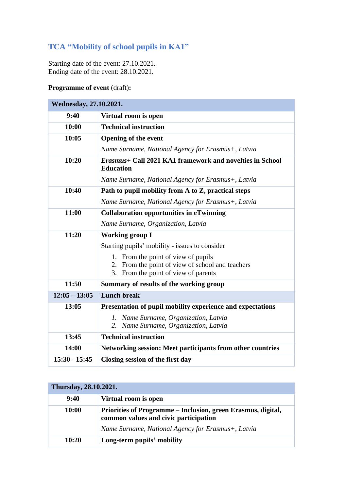## **TCA "Mobility of school pupils in KA1"**

Starting date of the event: 27.10.2021. Ending date of the event: 28.10.2021.

## **Programme of event** (draft)**:**

| Wednesday, 27.10.2021. |                                                                                                |
|------------------------|------------------------------------------------------------------------------------------------|
| 9:40                   | Virtual room is open                                                                           |
| 10:00                  | <b>Technical instruction</b>                                                                   |
| 10:05                  | <b>Opening of the event</b>                                                                    |
|                        | Name Surname, National Agency for Erasmus+, Latvia                                             |
| 10:20                  | <i>Erasmus</i> + Call 2021 KA1 framework and novelties in School<br><b>Education</b>           |
|                        | Name Surname, National Agency for Erasmus+, Latvia                                             |
| 10:40                  | Path to pupil mobility from A to Z, practical steps                                            |
|                        | Name Surname, National Agency for Erasmus+, Latvia                                             |
| 11:00                  | <b>Collaboration opportunities in eTwinning</b>                                                |
|                        | Name Surname, Organization, Latvia                                                             |
| 11:20                  | <b>Working group I</b>                                                                         |
|                        | Starting pupils' mobility - issues to consider                                                 |
|                        | From the point of view of pupils<br>1.                                                         |
|                        | From the point of view of school and teachers<br>2.<br>3.<br>From the point of view of parents |
| 11:50                  |                                                                                                |
|                        | Summary of results of the working group                                                        |
| $12:05 - 13:05$        | <b>Lunch break</b>                                                                             |
| 13:05                  | Presentation of pupil mobility experience and expectations                                     |
|                        | Name Surname, Organization, Latvia<br>$I_{\cdot}$                                              |
|                        | Name Surname, Organization, Latvia<br>2.                                                       |
| 13:45                  | <b>Technical instruction</b>                                                                   |
| 14:00                  | Networking session: Meet participants from other countries                                     |
| $15:30 - 15:45$        | Closing session of the first day                                                               |

| Thursday, 28.10.2021. |                                                                                                       |
|-----------------------|-------------------------------------------------------------------------------------------------------|
| 9:40                  | Virtual room is open                                                                                  |
| 10:00                 | Priorities of Programme – Inclusion, green Erasmus, digital,<br>common values and civic participation |
|                       | Name Surname, National Agency for Erasmus+, Latvia                                                    |
| 10:20                 | Long-term pupils' mobility                                                                            |